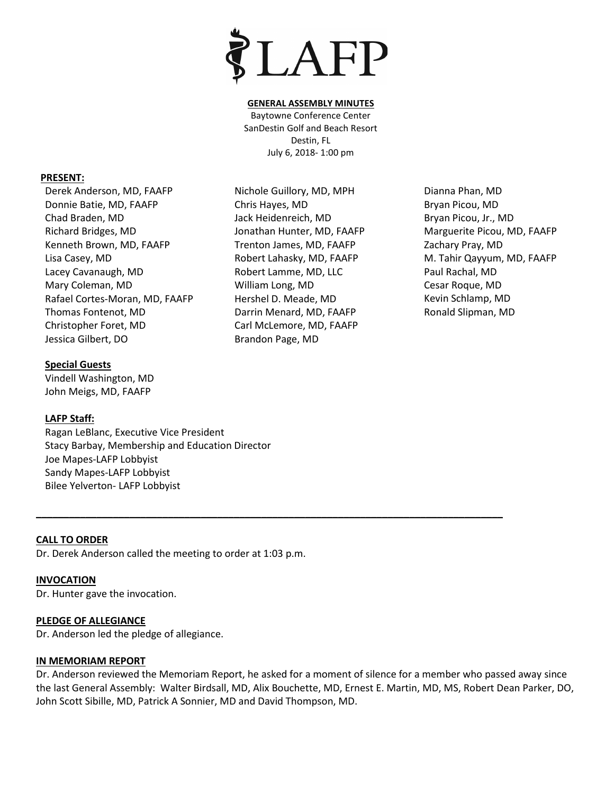

#### **GENERAL ASSEMBLY MINUTES**

Baytowne Conference Center SanDestin Golf and Beach Resort Destin, FL July 6, 2018- 1:00 pm

#### **PRESENT:**

Derek Anderson, MD, FAAFP Donnie Batie, MD, FAAFP Chad Braden, MD Richard Bridges, MD Kenneth Brown, MD, FAAFP Lisa Casey, MD Lacey Cavanaugh, MD Mary Coleman, MD Rafael Cortes-Moran, MD, FAAFP Thomas Fontenot, MD Christopher Foret, MD Jessica Gilbert, DO

### **Special Guests**

Vindell Washington, MD John Meigs, MD, FAAFP

### **LAFP Staff:**

Ragan LeBlanc, Executive Vice President Stacy Barbay, Membership and Education Director Joe Mapes-LAFP Lobbyist Sandy Mapes-LAFP Lobbyist Bilee Yelverton- LAFP Lobbyist

### **CALL TO ORDER**

Dr. Derek Anderson called the meeting to order at 1:03 p.m.

### **INVOCATION**

Dr. Hunter gave the invocation.

### **PLEDGE OF ALLEGIANCE**

Dr. Anderson led the pledge of allegiance.

### **IN MEMORIAM REPORT**

Dr. Anderson reviewed the Memoriam Report, he asked for a moment of silence for a member who passed away since the last General Assembly: Walter Birdsall, MD, Alix Bouchette, MD, Ernest E. Martin, MD, MS, Robert Dean Parker, DO, John Scott Sibille, MD, Patrick A Sonnier, MD and David Thompson, MD.

**\_\_\_\_\_\_\_\_\_\_\_\_\_\_\_\_\_\_\_\_\_\_\_\_\_\_\_\_\_\_\_\_\_\_\_\_\_\_\_\_\_\_\_\_\_\_\_\_\_\_\_\_\_\_\_\_\_\_\_\_\_\_\_\_\_\_\_\_\_\_\_\_\_\_\_\_\_\_\_\_\_\_\_\_\_**

Nichole Guillory, MD, MPH Chris Hayes, MD Jack Heidenreich, MD Jonathan Hunter, MD, FAAFP Trenton James, MD, FAAFP Robert Lahasky, MD, FAAFP Robert Lamme, MD, LLC William Long, MD Hershel D. Meade, MD Darrin Menard, MD, FAAFP Carl McLemore, MD, FAAFP Brandon Page, MD

Dianna Phan, MD Bryan Picou, MD Bryan Picou, Jr., MD Marguerite Picou, MD, FAAFP Zachary Pray, MD M. Tahir Qayyum, MD, FAAFP Paul Rachal, MD Cesar Roque, MD Kevin Schlamp, MD Ronald Slipman, MD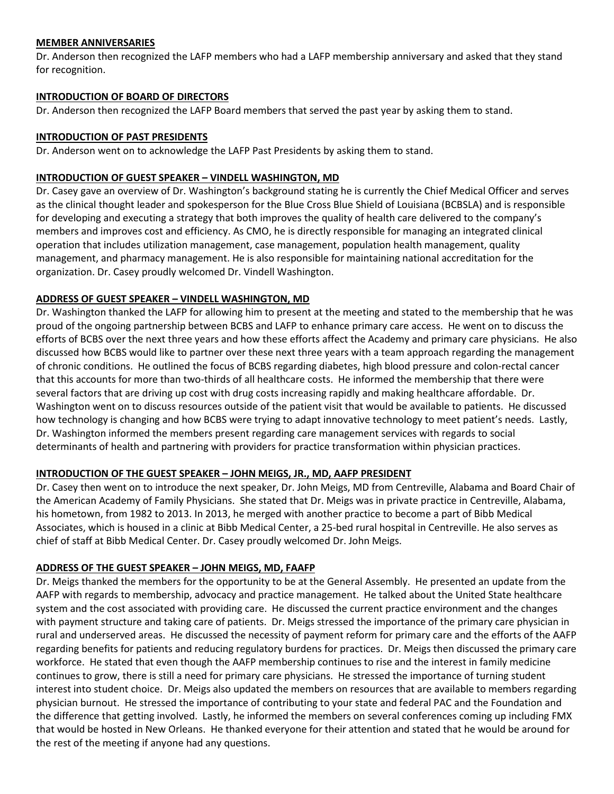### **MEMBER ANNIVERSARIES**

Dr. Anderson then recognized the LAFP members who had a LAFP membership anniversary and asked that they stand for recognition.

### **INTRODUCTION OF BOARD OF DIRECTORS**

Dr. Anderson then recognized the LAFP Board members that served the past year by asking them to stand.

### **INTRODUCTION OF PAST PRESIDENTS**

Dr. Anderson went on to acknowledge the LAFP Past Presidents by asking them to stand.

### **INTRODUCTION OF GUEST SPEAKER – VINDELL WASHINGTON, MD**

Dr. Casey gave an overview of Dr. Washington's background stating he is currently the Chief Medical Officer and serves as the clinical thought leader and spokesperson for the Blue Cross Blue Shield of Louisiana (BCBSLA) and is responsible for developing and executing a strategy that both improves the quality of health care delivered to the company's members and improves cost and efficiency. As CMO, he is directly responsible for managing an integrated clinical operation that includes utilization management, case management, population health management, quality management, and pharmacy management. He is also responsible for maintaining national accreditation for the organization. Dr. Casey proudly welcomed Dr. Vindell Washington.

### **ADDRESS OF GUEST SPEAKER – VINDELL WASHINGTON, MD**

Dr. Washington thanked the LAFP for allowing him to present at the meeting and stated to the membership that he was proud of the ongoing partnership between BCBS and LAFP to enhance primary care access. He went on to discuss the efforts of BCBS over the next three years and how these efforts affect the Academy and primary care physicians. He also discussed how BCBS would like to partner over these next three years with a team approach regarding the management of chronic conditions. He outlined the focus of BCBS regarding diabetes, high blood pressure and colon-rectal cancer that this accounts for more than two-thirds of all healthcare costs. He informed the membership that there were several factors that are driving up cost with drug costs increasing rapidly and making healthcare affordable. Dr. Washington went on to discuss resources outside of the patient visit that would be available to patients. He discussed how technology is changing and how BCBS were trying to adapt innovative technology to meet patient's needs. Lastly, Dr. Washington informed the members present regarding care management services with regards to social determinants of health and partnering with providers for practice transformation within physician practices.

### **INTRODUCTION OF THE GUEST SPEAKER – JOHN MEIGS, JR., MD, AAFP PRESIDENT**

Dr. Casey then went on to introduce the next speaker, Dr. John Meigs, MD from Centreville, Alabama and Board Chair of the American Academy of Family Physicians. She stated that Dr. Meigs was in private practice in Centreville, Alabama, his hometown, from 1982 to 2013. In 2013, he merged with another practice to become a part of Bibb Medical Associates, which is housed in a clinic at Bibb Medical Center, a 25-bed rural hospital in Centreville. He also serves as chief of staff at Bibb Medical Center. Dr. Casey proudly welcomed Dr. John Meigs.

### **ADDRESS OF THE GUEST SPEAKER – JOHN MEIGS, MD, FAAFP**

Dr. Meigs thanked the members for the opportunity to be at the General Assembly. He presented an update from the AAFP with regards to membership, advocacy and practice management. He talked about the United State healthcare system and the cost associated with providing care. He discussed the current practice environment and the changes with payment structure and taking care of patients. Dr. Meigs stressed the importance of the primary care physician in rural and underserved areas. He discussed the necessity of payment reform for primary care and the efforts of the AAFP regarding benefits for patients and reducing regulatory burdens for practices. Dr. Meigs then discussed the primary care workforce. He stated that even though the AAFP membership continues to rise and the interest in family medicine continues to grow, there is still a need for primary care physicians. He stressed the importance of turning student interest into student choice. Dr. Meigs also updated the members on resources that are available to members regarding physician burnout. He stressed the importance of contributing to your state and federal PAC and the Foundation and the difference that getting involved. Lastly, he informed the members on several conferences coming up including FMX that would be hosted in New Orleans. He thanked everyone for their attention and stated that he would be around for the rest of the meeting if anyone had any questions.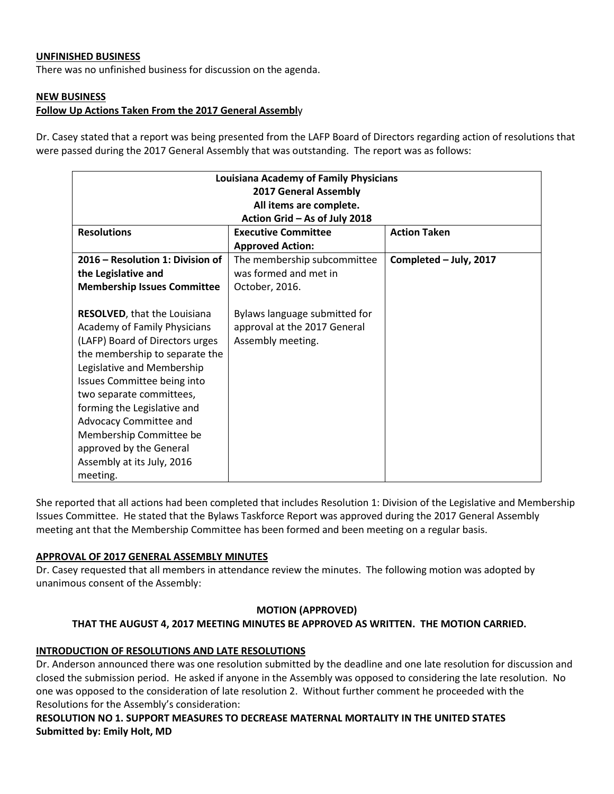### **UNFINISHED BUSINESS**

There was no unfinished business for discussion on the agenda.

### **NEW BUSINESS**

### **Follow Up Actions Taken From the 2017 General Assembl**y

Dr. Casey stated that a report was being presented from the LAFP Board of Directors regarding action of resolutions that were passed during the 2017 General Assembly that was outstanding. The report was as follows:

| <b>Louisiana Academy of Family Physicians</b><br><b>2017 General Assembly</b><br>All items are complete.                                                                                                                                                                                                                                                                                   |                                                                                    |                        |  |
|--------------------------------------------------------------------------------------------------------------------------------------------------------------------------------------------------------------------------------------------------------------------------------------------------------------------------------------------------------------------------------------------|------------------------------------------------------------------------------------|------------------------|--|
| Action Grid - As of July 2018                                                                                                                                                                                                                                                                                                                                                              |                                                                                    |                        |  |
| <b>Resolutions</b>                                                                                                                                                                                                                                                                                                                                                                         | <b>Executive Committee</b>                                                         | <b>Action Taken</b>    |  |
|                                                                                                                                                                                                                                                                                                                                                                                            | <b>Approved Action:</b>                                                            |                        |  |
| 2016 – Resolution 1: Division of                                                                                                                                                                                                                                                                                                                                                           | The membership subcommittee                                                        | Completed - July, 2017 |  |
| the Legislative and                                                                                                                                                                                                                                                                                                                                                                        | was formed and met in                                                              |                        |  |
| <b>Membership Issues Committee</b>                                                                                                                                                                                                                                                                                                                                                         | October, 2016.                                                                     |                        |  |
| <b>RESOLVED, that the Louisiana</b><br>Academy of Family Physicians<br>(LAFP) Board of Directors urges<br>the membership to separate the<br>Legislative and Membership<br>Issues Committee being into<br>two separate committees,<br>forming the Legislative and<br>Advocacy Committee and<br>Membership Committee be<br>approved by the General<br>Assembly at its July, 2016<br>meeting. | Bylaws language submitted for<br>approval at the 2017 General<br>Assembly meeting. |                        |  |

She reported that all actions had been completed that includes Resolution 1: Division of the Legislative and Membership Issues Committee. He stated that the Bylaws Taskforce Report was approved during the 2017 General Assembly meeting ant that the Membership Committee has been formed and been meeting on a regular basis.

#### **APPROVAL OF 2017 GENERAL ASSEMBLY MINUTES**

Dr. Casey requested that all members in attendance review the minutes. The following motion was adopted by unanimous consent of the Assembly:

#### **MOTION (APPROVED)**

### **THAT THE AUGUST 4, 2017 MEETING MINUTES BE APPROVED AS WRITTEN. THE MOTION CARRIED.**

### **INTRODUCTION OF RESOLUTIONS AND LATE RESOLUTIONS**

Dr. Anderson announced there was one resolution submitted by the deadline and one late resolution for discussion and closed the submission period. He asked if anyone in the Assembly was opposed to considering the late resolution. No one was opposed to the consideration of late resolution 2. Without further comment he proceeded with the Resolutions for the Assembly's consideration:

**RESOLUTION NO 1. SUPPORT MEASURES TO DECREASE MATERNAL MORTALITY IN THE UNITED STATES Submitted by: Emily Holt, MD**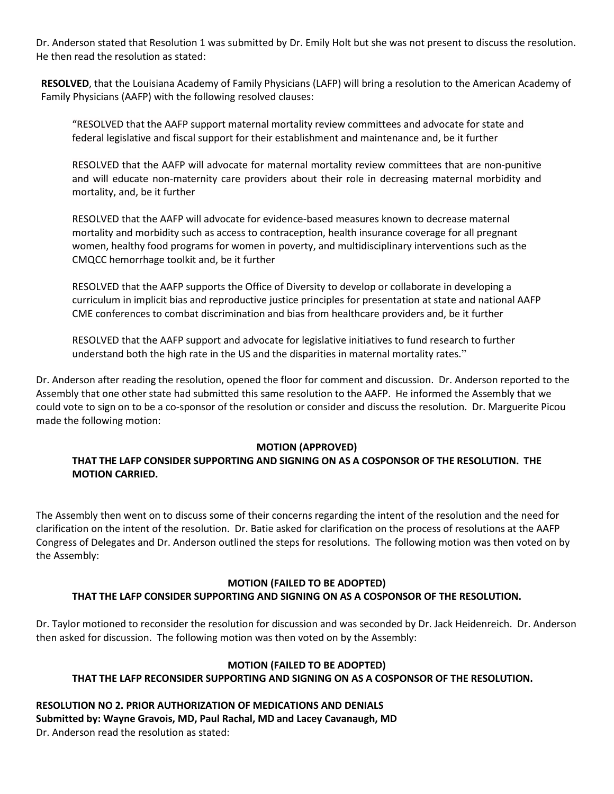Dr. Anderson stated that Resolution 1 was submitted by Dr. Emily Holt but she was not present to discuss the resolution. He then read the resolution as stated:

**RESOLVED**, that the Louisiana Academy of Family Physicians (LAFP) will bring a resolution to the American Academy of Family Physicians (AAFP) with the following resolved clauses:

"RESOLVED that the AAFP support maternal mortality review committees and advocate for state and federal legislative and fiscal support for their establishment and maintenance and, be it further

RESOLVED that the AAFP will advocate for maternal mortality review committees that are non-punitive and will educate non-maternity care providers about their role in decreasing maternal morbidity and mortality, and, be it further

RESOLVED that the AAFP will advocate for evidence-based measures known to decrease maternal mortality and morbidity such as access to contraception, health insurance coverage for all pregnant women, healthy food programs for women in poverty, and multidisciplinary interventions such as the CMQCC hemorrhage toolkit and, be it further

RESOLVED that the AAFP supports the Office of Diversity to develop or collaborate in developing a curriculum in implicit bias and reproductive justice principles for presentation at state and national AAFP CME conferences to combat discrimination and bias from healthcare providers and, be it further

RESOLVED that the AAFP support and advocate for legislative initiatives to fund research to further understand both the high rate in the US and the disparities in maternal mortality rates."

Dr. Anderson after reading the resolution, opened the floor for comment and discussion. Dr. Anderson reported to the Assembly that one other state had submitted this same resolution to the AAFP. He informed the Assembly that we could vote to sign on to be a co-sponsor of the resolution or consider and discuss the resolution. Dr. Marguerite Picou made the following motion:

### **MOTION (APPROVED)**

### **THAT THE LAFP CONSIDER SUPPORTING AND SIGNING ON AS A COSPONSOR OF THE RESOLUTION. THE MOTION CARRIED.**

The Assembly then went on to discuss some of their concerns regarding the intent of the resolution and the need for clarification on the intent of the resolution. Dr. Batie asked for clarification on the process of resolutions at the AAFP Congress of Delegates and Dr. Anderson outlined the steps for resolutions. The following motion was then voted on by the Assembly:

### **MOTION (FAILED TO BE ADOPTED) THAT THE LAFP CONSIDER SUPPORTING AND SIGNING ON AS A COSPONSOR OF THE RESOLUTION.**

Dr. Taylor motioned to reconsider the resolution for discussion and was seconded by Dr. Jack Heidenreich. Dr. Anderson then asked for discussion. The following motion was then voted on by the Assembly:

# **MOTION (FAILED TO BE ADOPTED)**

## **THAT THE LAFP RECONSIDER SUPPORTING AND SIGNING ON AS A COSPONSOR OF THE RESOLUTION.**

**RESOLUTION NO 2. PRIOR AUTHORIZATION OF MEDICATIONS AND DENIALS Submitted by: Wayne Gravois, MD, Paul Rachal, MD and Lacey Cavanaugh, MD** Dr. Anderson read the resolution as stated: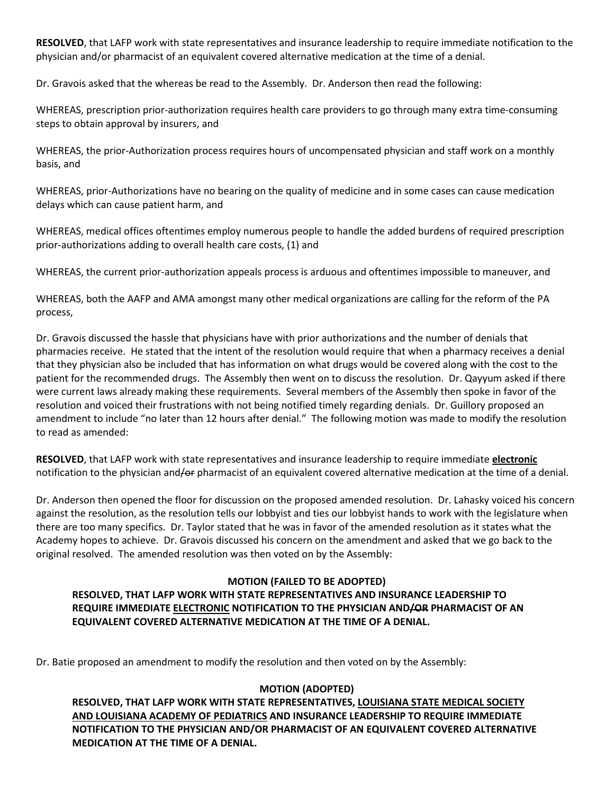**RESOLVED**, that LAFP work with state representatives and insurance leadership to require immediate notification to the physician and/or pharmacist of an equivalent covered alternative medication at the time of a denial.

Dr. Gravois asked that the whereas be read to the Assembly. Dr. Anderson then read the following:

WHEREAS, prescription prior-authorization requires health care providers to go through many extra time-consuming steps to obtain approval by insurers, and

WHEREAS, the prior-Authorization process requires hours of uncompensated physician and staff work on a monthly basis, and

WHEREAS, prior-Authorizations have no bearing on the quality of medicine and in some cases can cause medication delays which can cause patient harm, and

WHEREAS, medical offices oftentimes employ numerous people to handle the added burdens of required prescription prior-authorizations adding to overall health care costs, (1) and

WHEREAS, the current prior-authorization appeals process is arduous and oftentimes impossible to maneuver, and

WHEREAS, both the AAFP and AMA amongst many other medical organizations are calling for the reform of the PA process,

Dr. Gravois discussed the hassle that physicians have with prior authorizations and the number of denials that pharmacies receive. He stated that the intent of the resolution would require that when a pharmacy receives a denial that they physician also be included that has information on what drugs would be covered along with the cost to the patient for the recommended drugs. The Assembly then went on to discuss the resolution. Dr. Qayyum asked if there were current laws already making these requirements. Several members of the Assembly then spoke in favor of the resolution and voiced their frustrations with not being notified timely regarding denials. Dr. Guillory proposed an amendment to include "no later than 12 hours after denial." The following motion was made to modify the resolution to read as amended:

**RESOLVED**, that LAFP work with state representatives and insurance leadership to require immediate **electronic** notification to the physician and/or pharmacist of an equivalent covered alternative medication at the time of a denial.

Dr. Anderson then opened the floor for discussion on the proposed amended resolution. Dr. Lahasky voiced his concern against the resolution, as the resolution tells our lobbyist and ties our lobbyist hands to work with the legislature when there are too many specifics. Dr. Taylor stated that he was in favor of the amended resolution as it states what the Academy hopes to achieve. Dr. Gravois discussed his concern on the amendment and asked that we go back to the original resolved. The amended resolution was then voted on by the Assembly:

# **MOTION (FAILED TO BE ADOPTED)**

### **RESOLVED, THAT LAFP WORK WITH STATE REPRESENTATIVES AND INSURANCE LEADERSHIP TO REQUIRE IMMEDIATE ELECTRONIC NOTIFICATION TO THE PHYSICIAN AND/OR PHARMACIST OF AN EQUIVALENT COVERED ALTERNATIVE MEDICATION AT THE TIME OF A DENIAL.**

Dr. Batie proposed an amendment to modify the resolution and then voted on by the Assembly:

## **MOTION (ADOPTED)**

**RESOLVED, THAT LAFP WORK WITH STATE REPRESENTATIVES, LOUISIANA STATE MEDICAL SOCIETY AND LOUISIANA ACADEMY OF PEDIATRICS AND INSURANCE LEADERSHIP TO REQUIRE IMMEDIATE NOTIFICATION TO THE PHYSICIAN AND/OR PHARMACIST OF AN EQUIVALENT COVERED ALTERNATIVE MEDICATION AT THE TIME OF A DENIAL.**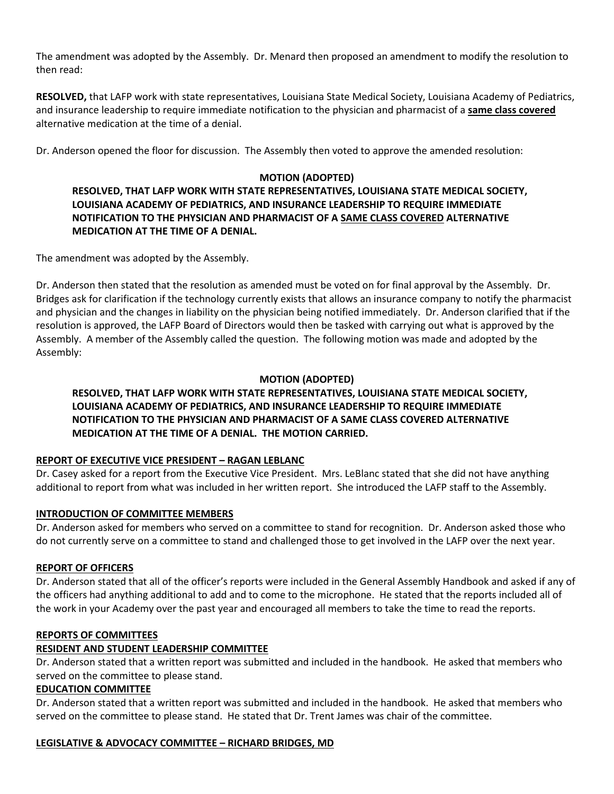The amendment was adopted by the Assembly. Dr. Menard then proposed an amendment to modify the resolution to then read:

**RESOLVED,** that LAFP work with state representatives, Louisiana State Medical Society, Louisiana Academy of Pediatrics, and insurance leadership to require immediate notification to the physician and pharmacist of a **same class covered** alternative medication at the time of a denial.

Dr. Anderson opened the floor for discussion. The Assembly then voted to approve the amended resolution:

### **MOTION (ADOPTED)**

**RESOLVED, THAT LAFP WORK WITH STATE REPRESENTATIVES, LOUISIANA STATE MEDICAL SOCIETY, LOUISIANA ACADEMY OF PEDIATRICS, AND INSURANCE LEADERSHIP TO REQUIRE IMMEDIATE NOTIFICATION TO THE PHYSICIAN AND PHARMACIST OF A SAME CLASS COVERED ALTERNATIVE MEDICATION AT THE TIME OF A DENIAL.**

The amendment was adopted by the Assembly.

Dr. Anderson then stated that the resolution as amended must be voted on for final approval by the Assembly. Dr. Bridges ask for clarification if the technology currently exists that allows an insurance company to notify the pharmacist and physician and the changes in liability on the physician being notified immediately. Dr. Anderson clarified that if the resolution is approved, the LAFP Board of Directors would then be tasked with carrying out what is approved by the Assembly. A member of the Assembly called the question. The following motion was made and adopted by the Assembly:

### **MOTION (ADOPTED)**

# **RESOLVED, THAT LAFP WORK WITH STATE REPRESENTATIVES, LOUISIANA STATE MEDICAL SOCIETY, LOUISIANA ACADEMY OF PEDIATRICS, AND INSURANCE LEADERSHIP TO REQUIRE IMMEDIATE NOTIFICATION TO THE PHYSICIAN AND PHARMACIST OF A SAME CLASS COVERED ALTERNATIVE MEDICATION AT THE TIME OF A DENIAL. THE MOTION CARRIED.**

### **REPORT OF EXECUTIVE VICE PRESIDENT – RAGAN LEBLANC**

Dr. Casey asked for a report from the Executive Vice President. Mrs. LeBlanc stated that she did not have anything additional to report from what was included in her written report. She introduced the LAFP staff to the Assembly.

### **INTRODUCTION OF COMMITTEE MEMBERS**

Dr. Anderson asked for members who served on a committee to stand for recognition. Dr. Anderson asked those who do not currently serve on a committee to stand and challenged those to get involved in the LAFP over the next year.

### **REPORT OF OFFICERS**

Dr. Anderson stated that all of the officer's reports were included in the General Assembly Handbook and asked if any of the officers had anything additional to add and to come to the microphone. He stated that the reports included all of the work in your Academy over the past year and encouraged all members to take the time to read the reports.

### **REPORTS OF COMMITTEES**

### **RESIDENT AND STUDENT LEADERSHIP COMMITTEE**

Dr. Anderson stated that a written report was submitted and included in the handbook. He asked that members who served on the committee to please stand.

### **EDUCATION COMMITTEE**

Dr. Anderson stated that a written report was submitted and included in the handbook. He asked that members who served on the committee to please stand. He stated that Dr. Trent James was chair of the committee.

### **LEGISLATIVE & ADVOCACY COMMITTEE – RICHARD BRIDGES, MD**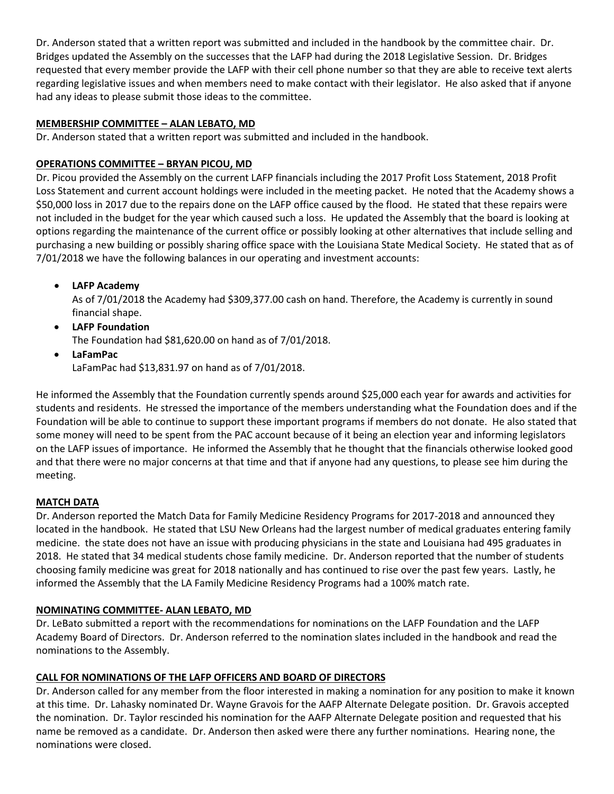Dr. Anderson stated that a written report was submitted and included in the handbook by the committee chair. Dr. Bridges updated the Assembly on the successes that the LAFP had during the 2018 Legislative Session. Dr. Bridges requested that every member provide the LAFP with their cell phone number so that they are able to receive text alerts regarding legislative issues and when members need to make contact with their legislator. He also asked that if anyone had any ideas to please submit those ideas to the committee.

## **MEMBERSHIP COMMITTEE – ALAN LEBATO, MD**

Dr. Anderson stated that a written report was submitted and included in the handbook.

# **OPERATIONS COMMITTEE – BRYAN PICOU, MD**

Dr. Picou provided the Assembly on the current LAFP financials including the 2017 Profit Loss Statement, 2018 Profit Loss Statement and current account holdings were included in the meeting packet. He noted that the Academy shows a \$50,000 loss in 2017 due to the repairs done on the LAFP office caused by the flood. He stated that these repairs were not included in the budget for the year which caused such a loss. He updated the Assembly that the board is looking at options regarding the maintenance of the current office or possibly looking at other alternatives that include selling and purchasing a new building or possibly sharing office space with the Louisiana State Medical Society. He stated that as of 7/01/2018 we have the following balances in our operating and investment accounts:

• **LAFP Academy**

As of 7/01/2018 the Academy had \$309,377.00 cash on hand. Therefore, the Academy is currently in sound financial shape.

- **LAFP Foundation** The Foundation had \$81,620.00 on hand as of 7/01/2018.
- **LaFamPac** LaFamPac had \$13,831.97 on hand as of 7/01/2018.

He informed the Assembly that the Foundation currently spends around \$25,000 each year for awards and activities for students and residents. He stressed the importance of the members understanding what the Foundation does and if the Foundation will be able to continue to support these important programs if members do not donate. He also stated that some money will need to be spent from the PAC account because of it being an election year and informing legislators on the LAFP issues of importance. He informed the Assembly that he thought that the financials otherwise looked good and that there were no major concerns at that time and that if anyone had any questions, to please see him during the meeting.

# **MATCH DATA**

Dr. Anderson reported the Match Data for Family Medicine Residency Programs for 2017-2018 and announced they located in the handbook. He stated that LSU New Orleans had the largest number of medical graduates entering family medicine. the state does not have an issue with producing physicians in the state and Louisiana had 495 graduates in 2018. He stated that 34 medical students chose family medicine. Dr. Anderson reported that the number of students choosing family medicine was great for 2018 nationally and has continued to rise over the past few years. Lastly, he informed the Assembly that the LA Family Medicine Residency Programs had a 100% match rate.

## **NOMINATING COMMITTEE- ALAN LEBATO, MD**

Dr. LeBato submitted a report with the recommendations for nominations on the LAFP Foundation and the LAFP Academy Board of Directors. Dr. Anderson referred to the nomination slates included in the handbook and read the nominations to the Assembly.

# **CALL FOR NOMINATIONS OF THE LAFP OFFICERS AND BOARD OF DIRECTORS**

Dr. Anderson called for any member from the floor interested in making a nomination for any position to make it known at this time. Dr. Lahasky nominated Dr. Wayne Gravois for the AAFP Alternate Delegate position. Dr. Gravois accepted the nomination. Dr. Taylor rescinded his nomination for the AAFP Alternate Delegate position and requested that his name be removed as a candidate. Dr. Anderson then asked were there any further nominations. Hearing none, the nominations were closed.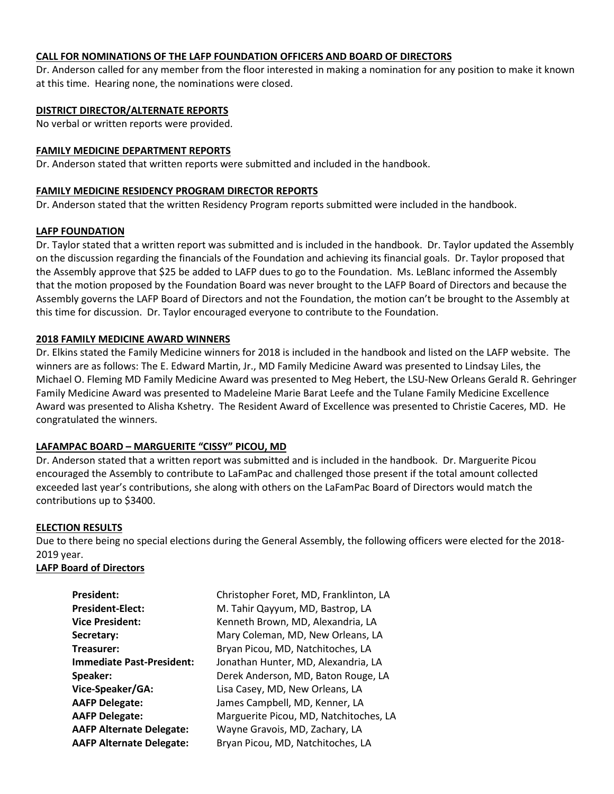### **CALL FOR NOMINATIONS OF THE LAFP FOUNDATION OFFICERS AND BOARD OF DIRECTORS**

Dr. Anderson called for any member from the floor interested in making a nomination for any position to make it known at this time. Hearing none, the nominations were closed.

### **DISTRICT DIRECTOR/ALTERNATE REPORTS**

No verbal or written reports were provided.

#### **FAMILY MEDICINE DEPARTMENT REPORTS**

Dr. Anderson stated that written reports were submitted and included in the handbook.

#### **FAMILY MEDICINE RESIDENCY PROGRAM DIRECTOR REPORTS**

Dr. Anderson stated that the written Residency Program reports submitted were included in the handbook.

#### **LAFP FOUNDATION**

Dr. Taylor stated that a written report was submitted and is included in the handbook. Dr. Taylor updated the Assembly on the discussion regarding the financials of the Foundation and achieving its financial goals. Dr. Taylor proposed that the Assembly approve that \$25 be added to LAFP dues to go to the Foundation. Ms. LeBlanc informed the Assembly that the motion proposed by the Foundation Board was never brought to the LAFP Board of Directors and because the Assembly governs the LAFP Board of Directors and not the Foundation, the motion can't be brought to the Assembly at this time for discussion. Dr. Taylor encouraged everyone to contribute to the Foundation.

### **2018 FAMILY MEDICINE AWARD WINNERS**

Dr. Elkins stated the Family Medicine winners for 2018 is included in the handbook and listed on the LAFP website. The winners are as follows: The E. Edward Martin, Jr., MD Family Medicine Award was presented to Lindsay Liles, the Michael O. Fleming MD Family Medicine Award was presented to Meg Hebert, the LSU-New Orleans Gerald R. Gehringer Family Medicine Award was presented to Madeleine Marie Barat Leefe and the Tulane Family Medicine Excellence Award was presented to Alisha Kshetry. The Resident Award of Excellence was presented to Christie Caceres, MD. He congratulated the winners.

### **LAFAMPAC BOARD – MARGUERITE "CISSY" PICOU, MD**

Dr. Anderson stated that a written report was submitted and is included in the handbook. Dr. Marguerite Picou encouraged the Assembly to contribute to LaFamPac and challenged those present if the total amount collected exceeded last year's contributions, she along with others on the LaFamPac Board of Directors would match the contributions up to \$3400.

### **ELECTION RESULTS**

Due to there being no special elections during the General Assembly, the following officers were elected for the 2018- 2019 year.

### **LAFP Board of Directors**

| <b>President:</b>                | Christopher Foret, MD, Franklinton, LA |
|----------------------------------|----------------------------------------|
| <b>President-Elect:</b>          | M. Tahir Qayyum, MD, Bastrop, LA       |
| <b>Vice President:</b>           | Kenneth Brown, MD, Alexandria, LA      |
| Secretary:                       | Mary Coleman, MD, New Orleans, LA      |
| Treasurer:                       | Bryan Picou, MD, Natchitoches, LA      |
| <b>Immediate Past-President:</b> | Jonathan Hunter, MD, Alexandria, LA    |
| Speaker:                         | Derek Anderson, MD, Baton Rouge, LA    |
| Vice-Speaker/GA:                 | Lisa Casey, MD, New Orleans, LA        |
| <b>AAFP Delegate:</b>            | James Campbell, MD, Kenner, LA         |
| <b>AAFP Delegate:</b>            | Marguerite Picou, MD, Natchitoches, LA |
| <b>AAFP Alternate Delegate:</b>  | Wayne Gravois, MD, Zachary, LA         |
| <b>AAFP Alternate Delegate:</b>  | Bryan Picou, MD, Natchitoches, LA      |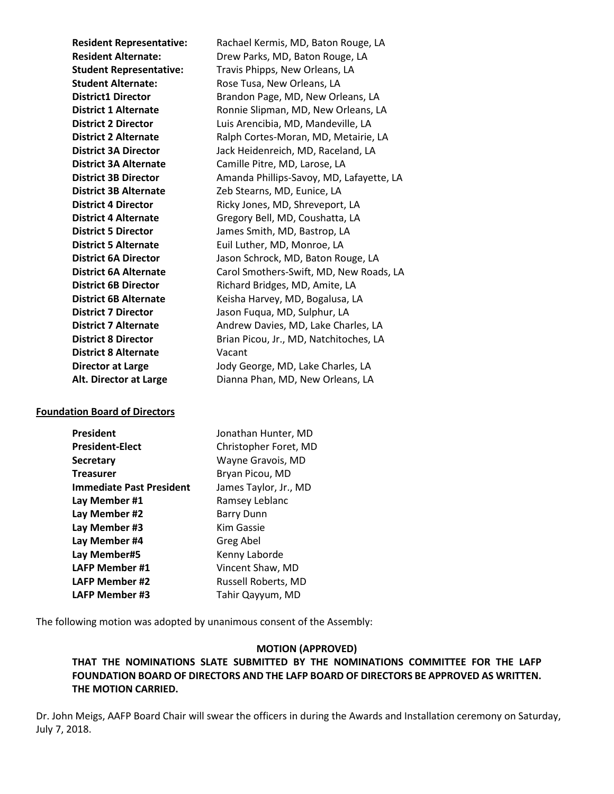**Resident Representative:** Rachael Kermis, MD, Baton Rouge, LA **Resident Alternate:** Drew Parks, MD, Baton Rouge, LA **Student Representative:** Travis Phipps, New Orleans, LA **Student Alternate:** Rose Tusa, New Orleans, LA **District1 Director** Brandon Page, MD, New Orleans, LA **District 1 Alternate** Ronnie Slipman, MD, New Orleans, LA **District 2 Director** Luis Arencibia, MD, Mandeville, LA **District 2 Alternate** Ralph Cortes-Moran, MD, Metairie, LA **District 3A Director** Jack Heidenreich, MD, Raceland, LA **District 3A Alternate** Camille Pitre, MD, Larose, LA **District 3B Director** Amanda Phillips-Savoy, MD, Lafayette, LA **District 3B Alternate** Zeb Stearns, MD, Eunice, LA **District 4 Director** Ricky Jones, MD, Shreveport, LA **District 4 Alternate** Gregory Bell, MD, Coushatta, LA **District 5 Director** James Smith, MD, Bastrop, LA **District 5 Alternate** Euil Luther, MD, Monroe, LA **District 6A Director** Jason Schrock, MD, Baton Rouge, LA **District 6A Alternate** Carol Smothers-Swift, MD, New Roads, LA **District 6B Director** Richard Bridges, MD, Amite, LA **District 6B Alternate** Keisha Harvey, MD, Bogalusa, LA **District 7 Director** Jason Fuqua, MD, Sulphur, LA **District 7 Alternate** Andrew Davies, MD, Lake Charles, LA **District 8 Director** Brian Picou, Jr., MD, Natchitoches, LA **District 8 Alternate** Vacant **Director at Large** Jody George, MD, Lake Charles, LA Alt. Director at Large **Dianna Phan, MD, New Orleans, LA** 

### **Foundation Board of Directors**

| <b>President</b>                | Jonathan Hunter, MD   |
|---------------------------------|-----------------------|
| <b>President-Elect</b>          | Christopher Foret, MD |
| <b>Secretary</b>                | Wayne Gravois, MD     |
| <b>Treasurer</b>                | Bryan Picou, MD       |
| <b>Immediate Past President</b> | James Taylor, Jr., MD |
| Lay Member #1                   | Ramsey Leblanc        |
| Lay Member #2                   | Barry Dunn            |
| Lay Member #3                   | Kim Gassie            |
| Lay Member #4                   | Greg Abel             |
| Lay Member#5                    | Kenny Laborde         |
| <b>LAFP Member #1</b>           | Vincent Shaw, MD      |
| LAFP Member #2                  | Russell Roberts, MD   |
| <b>LAFP Member #3</b>           | Tahir Qayyum, MD      |

The following motion was adopted by unanimous consent of the Assembly:

#### **MOTION (APPROVED)**

**THAT THE NOMINATIONS SLATE SUBMITTED BY THE NOMINATIONS COMMITTEE FOR THE LAFP FOUNDATION BOARD OF DIRECTORS AND THE LAFP BOARD OF DIRECTORS BE APPROVED AS WRITTEN. THE MOTION CARRIED.**

Dr. John Meigs, AAFP Board Chair will swear the officers in during the Awards and Installation ceremony on Saturday, July 7, 2018.